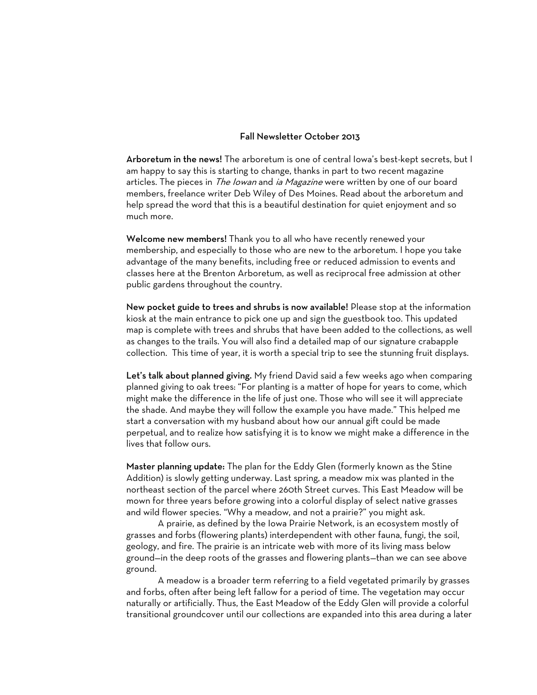## Fall Newsletter October 2013

Arboretum in the news! The arboretum is one of central Iowa's best-kept secrets, but I am happy to say this is starting to change, thanks in part to two recent magazine articles. The pieces in *The Iowan* and *ia Magazine* were written by one of our board members, freelance writer Deb Wiley of Des Moines. Read about the arboretum and help spread the word that this is a beautiful destination for quiet enjoyment and so much more.

Welcome new members! Thank you to all who have recently renewed your membership, and especially to those who are new to the arboretum. I hope you take advantage of the many benefits, including free or reduced admission to events and classes here at the Brenton Arboretum, as well as reciprocal free admission at other public gardens throughout the country.

New pocket guide to trees and shrubs is now available! Please stop at the information kiosk at the main entrance to pick one up and sign the guestbook too. This updated map is complete with trees and shrubs that have been added to the collections, as well as changes to the trails. You will also find a detailed map of our signature crabapple collection. This time of year, it is worth a special trip to see the stunning fruit displays.

Let's talk about planned giving. My friend David said a few weeks ago when comparing planned giving to oak trees: "For planting is a matter of hope for years to come, which might make the difference in the life of just one. Those who will see it will appreciate the shade. And maybe they will follow the example you have made." This helped me start a conversation with my husband about how our annual gift could be made perpetual, and to realize how satisfying it is to know we might make a difference in the lives that follow ours.

Master planning update: The plan for the Eddy Glen (formerly known as the Stine Addition) is slowly getting underway. Last spring, a meadow mix was planted in the northeast section of the parcel where 260th Street curves. This East Meadow will be mown for three years before growing into a colorful display of select native grasses and wild flower species. "Why a meadow, and not a prairie?" you might ask.

A prairie, as defined by the Iowa Prairie Network, is an ecosystem mostly of grasses and forbs (flowering plants) interdependent with other fauna, fungi, the soil, geology, and fire. The prairie is an intricate web with more of its living mass below ground—in the deep roots of the grasses and flowering plants—than we can see above ground.

A meadow is a broader term referring to a field vegetated primarily by grasses and forbs, often after being left fallow for a period of time. The vegetation may occur naturally or artificially. Thus, the East Meadow of the Eddy Glen will provide a colorful transitional groundcover until our collections are expanded into this area during a later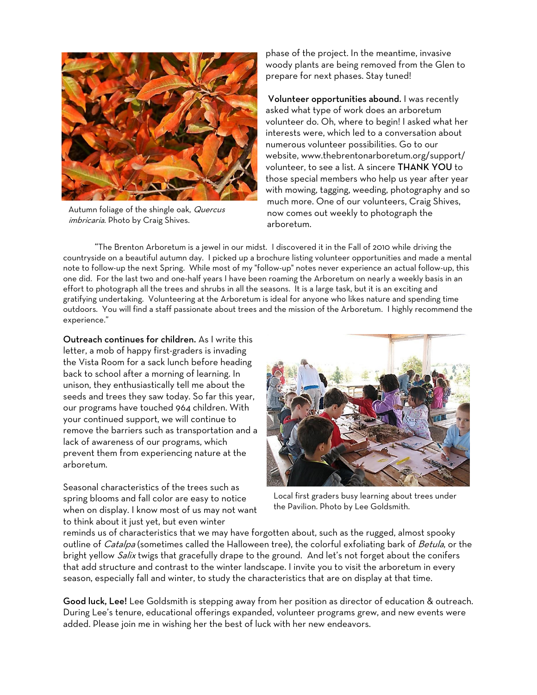

Autumn foliage of the shingle oak, Quercus imbricaria. Photo by Craig Shives.

phase of the project. In the meantime, invasive woody plants are being removed from the Glen to prepare for next phases. Stay tuned!

Volunteer opportunities abound. I was recently asked what type of work does an arboretum volunteer do. Oh, where to begin! I asked what her interests were, which led to a conversation about numerous volunteer possibilities. Go to our website, www.thebrentonarboretum.org/support/ volunteer, to see a list. A sincere THANK YOU to those special members who help us year after year with mowing, tagging, weeding, photography and so much more. One of our volunteers, Craig Shives, now comes out weekly to photograph the arboretum.

"The Brenton Arboretum is a jewel in our midst. I discovered it in the Fall of 2010 while driving the countryside on a beautiful autumn day. I picked up a brochure listing volunteer opportunities and made a mental note to follow-up the next Spring. While most of my "follow-up" notes never experience an actual follow-up, this one did. For the last two and one-half years I have been roaming the Arboretum on nearly a weekly basis in an effort to photograph all the trees and shrubs in all the seasons. It is a large task, but it is an exciting and gratifying undertaking. Volunteering at the Arboretum is ideal for anyone who likes nature and spending time outdoors. You will find a staff passionate about trees and the mission of the Arboretum. I highly recommend the experience."

Outreach continues for children. As I write this letter, a mob of happy first-graders is invading the Vista Room for a sack lunch before heading back to school after a morning of learning. In unison, they enthusiastically tell me about the seeds and trees they saw today. So far this year, our programs have touched 964 children. With your continued support, we will continue to remove the barriers such as transportation and a lack of awareness of our programs, which prevent them from experiencing nature at the arboretum.

Seasonal characteristics of the trees such as spring blooms and fall color are easy to notice when on display. I know most of us may not want to think about it just yet, but even winter



Local first graders busy learning about trees under the Pavilion. Photo by Lee Goldsmith.

reminds us of characteristics that we may have forgotten about, such as the rugged, almost spooky outline of *Catalpa* (sometimes called the Halloween tree), the colorful exfoliating bark of *Betula*, or the bright yellow *Salix* twigs that gracefully drape to the ground. And let's not forget about the conifers that add structure and contrast to the winter landscape. I invite you to visit the arboretum in every season, especially fall and winter, to study the characteristics that are on display at that time.

Good luck, Lee! Lee Goldsmith is stepping away from her position as director of education & outreach. During Lee's tenure, educational offerings expanded, volunteer programs grew, and new events were added. Please join me in wishing her the best of luck with her new endeavors.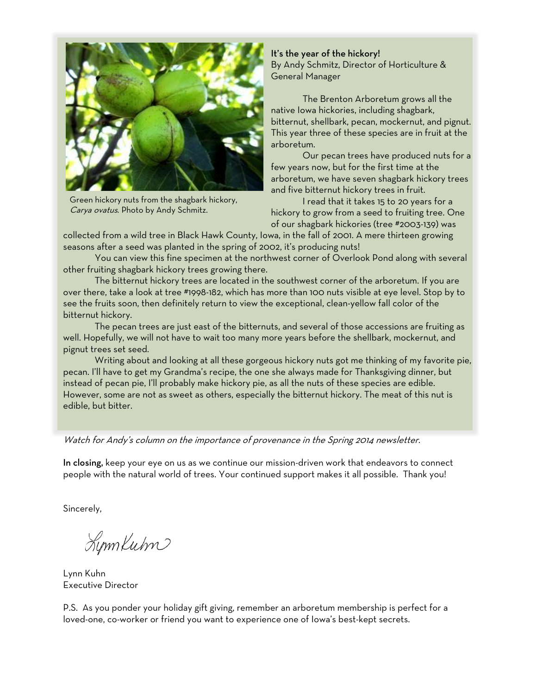

Green hickory nuts from the shagbark hickory, Carya ovatus. Photo by Andy Schmitz.

It's the year of the hickory! By Andy Schmitz, Director of Horticulture & General Manager

The Brenton Arboretum grows all the native Iowa hickories, including shagbark, bitternut, shellbark, pecan, mockernut, and pignut. This year three of these species are in fruit at the arboretum.

Our pecan trees have produced nuts for a few years now, but for the first time at the arboretum, we have seven shagbark hickory trees and five bitternut hickory trees in fruit.

I read that it takes 15 to 20 years for a hickory to grow from a seed to fruiting tree. One of our shagbark hickories (tree #2003-139) was

collected from a wild tree in Black Hawk County, Iowa, in the fall of 2001. A mere thirteen growing seasons after a seed was planted in the spring of 2002, it's producing nuts!

You can view this fine specimen at the northwest corner of Overlook Pond along with several other fruiting shagbark hickory trees growing there.

The bitternut hickory trees are located in the southwest corner of the arboretum. If you are over there, take a look at tree #1998-182, which has more than 100 nuts visible at eye level. Stop by to see the fruits soon, then definitely return to view the exceptional, clean-yellow fall color of the bitternut hickory.

The pecan trees are just east of the bitternuts, and several of those accessions are fruiting as well. Hopefully, we will not have to wait too many more years before the shellbark, mockernut, and pignut trees set seed.

Writing about and looking at all these gorgeous hickory nuts got me thinking of my favorite pie, pecan. I'll have to get my Grandma's recipe, the one she always made for Thanksgiving dinner, but instead of pecan pie, I'll probably make hickory pie, as all the nuts of these species are edible. However, some are not as sweet as others, especially the bitternut hickory. The meat of this nut is edible, but bitter.

Watch for Andy's column on the importance of provenance in the Spring 2014 newsletter.

In closing, keep your eye on us as we continue our mission-driven work that endeavors to connect people with the natural world of trees. Your continued support makes it all possible. Thank you!

Sincerely,

LynnKubn

Lynn Kuhn Executive Director

P.S. As you ponder your holiday gift giving, remember an arboretum membership is perfect for a loved-one, co-worker or friend you want to experience one of Iowa's best-kept secrets.